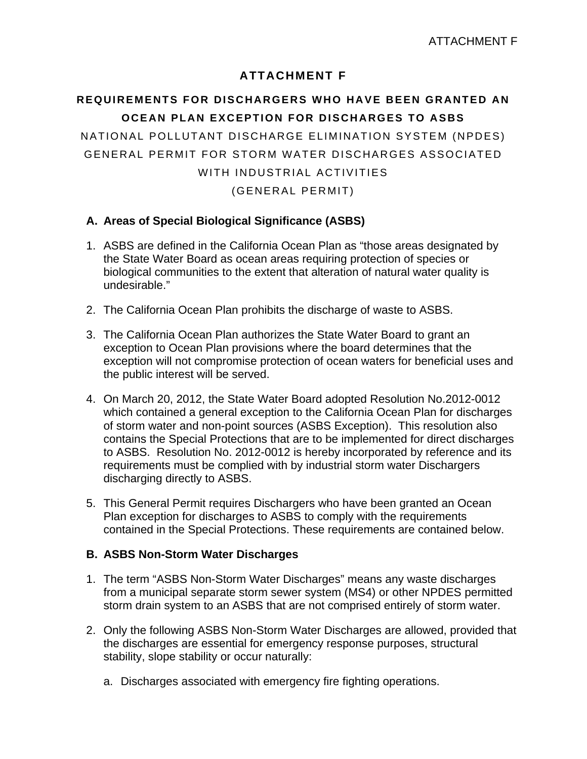## **ATTACHMENT F**

# **REQUIREMENTS FOR DISCHARGERS WHO HAVE BEEN GRANTED AN OCEAN PLAN EXCEPTION FOR DISCHARGES TO ASBS**

NATIONAL POLLUTANT DISCHARGE ELIMINATION SYSTEM (NPDES) GENERAL PERMIT FOR STORM WATER DISCHARGES ASSOCIATED WITH INDUSTRIAL ACTIVITIES

(GENERAL PERMIT)

### **A. Areas of Special Biological Significance (ASBS)**

- 1. ASBS are defined in the California Ocean Plan as "those areas designated by the State Water Board as ocean areas requiring protection of species or biological communities to the extent that alteration of natural water quality is undesirable."
- 2. The California Ocean Plan prohibits the discharge of waste to ASBS.
- 3. The California Ocean Plan authorizes the State Water Board to grant an exception to Ocean Plan provisions where the board determines that the exception will not compromise protection of ocean waters for beneficial uses and the public interest will be served.
- 4. On March 20, 2012, the State Water Board adopted Resolution No.2012-0012 which contained a general exception to the California Ocean Plan for discharges of storm water and non-point sources (ASBS Exception). This resolution also contains the Special Protections that are to be implemented for direct discharges to ASBS. Resolution No. 2012-0012 is hereby incorporated by reference and its requirements must be complied with by industrial storm water Dischargers discharging directly to ASBS.
- 5. This General Permit requires Dischargers who have been granted an Ocean Plan exception for discharges to ASBS to comply with the requirements contained in the Special Protections. These requirements are contained below.

#### **B. ASBS Non-Storm Water Discharges**

- 1. The term "ASBS Non-Storm Water Discharges" means any waste discharges from a municipal separate storm sewer system (MS4) or other NPDES permitted storm drain system to an ASBS that are not comprised entirely of storm water.
- 2. Only the following ASBS Non-Storm Water Discharges are allowed, provided that the discharges are essential for emergency response purposes, structural stability, slope stability or occur naturally:
	- a. Discharges associated with emergency fire fighting operations.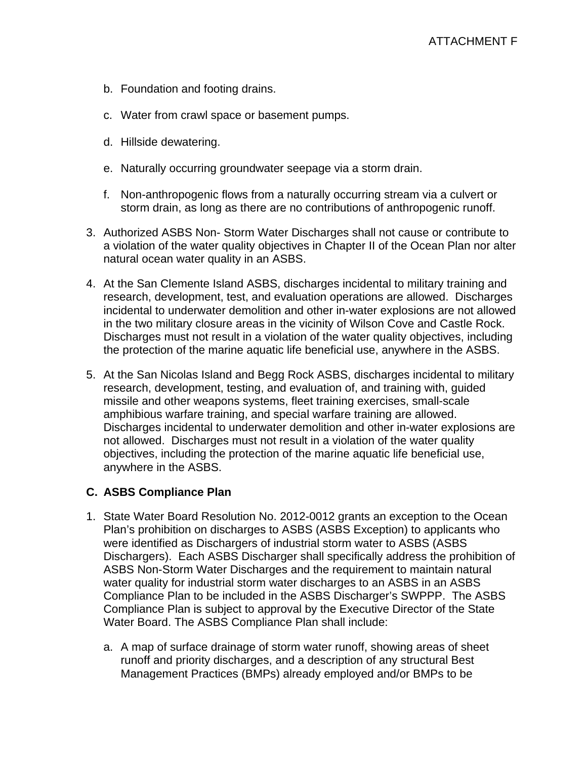- b. Foundation and footing drains.
- c. Water from crawl space or basement pumps.
- d. Hillside dewatering.
- e. Naturally occurring groundwater seepage via a storm drain.
- f. Non-anthropogenic flows from a naturally occurring stream via a culvert or storm drain, as long as there are no contributions of anthropogenic runoff.
- 3. Authorized ASBS Non- Storm Water Discharges shall not cause or contribute to a violation of the water quality objectives in Chapter II of the Ocean Plan nor alter natural ocean water quality in an ASBS.
- 4. At the San Clemente Island ASBS, discharges incidental to military training and research, development, test, and evaluation operations are allowed. Discharges incidental to underwater demolition and other in-water explosions are not allowed in the two military closure areas in the vicinity of Wilson Cove and Castle Rock. Discharges must not result in a violation of the water quality objectives, including the protection of the marine aquatic life beneficial use, anywhere in the ASBS.
- 5. At the San Nicolas Island and Begg Rock ASBS, discharges incidental to military research, development, testing, and evaluation of, and training with, guided missile and other weapons systems, fleet training exercises, small-scale amphibious warfare training, and special warfare training are allowed. Discharges incidental to underwater demolition and other in-water explosions are not allowed. Discharges must not result in a violation of the water quality objectives, including the protection of the marine aquatic life beneficial use, anywhere in the ASBS.

## **C. ASBS Compliance Plan**

- 1. State Water Board Resolution No. 2012-0012 grants an exception to the Ocean Plan's prohibition on discharges to ASBS (ASBS Exception) to applicants who were identified as Dischargers of industrial storm water to ASBS (ASBS Dischargers). Each ASBS Discharger shall specifically address the prohibition of ASBS Non-Storm Water Discharges and the requirement to maintain natural water quality for industrial storm water discharges to an ASBS in an ASBS Compliance Plan to be included in the ASBS Discharger's SWPPP. The ASBS Compliance Plan is subject to approval by the Executive Director of the State Water Board. The ASBS Compliance Plan shall include:
	- a. A map of surface drainage of storm water runoff, showing areas of sheet runoff and priority discharges, and a description of any structural Best Management Practices (BMPs) already employed and/or BMPs to be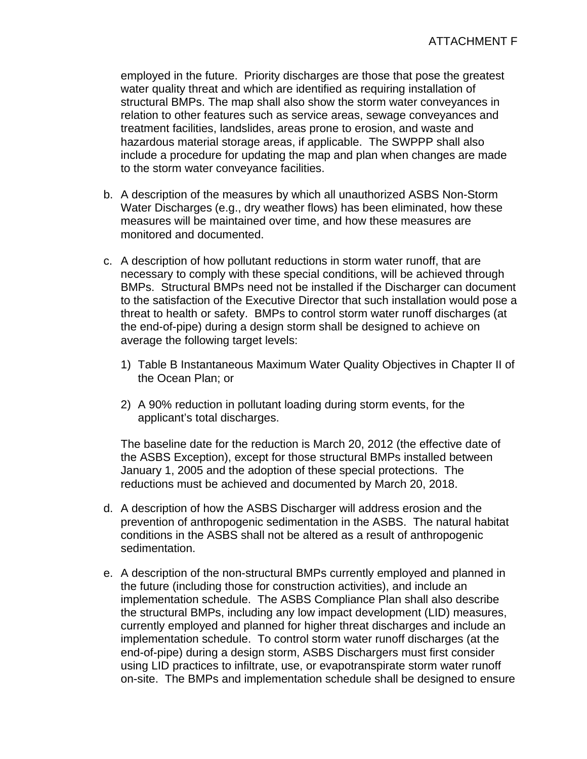employed in the future. Priority discharges are those that pose the greatest water quality threat and which are identified as requiring installation of structural BMPs. The map shall also show the storm water conveyances in relation to other features such as service areas, sewage conveyances and treatment facilities, landslides, areas prone to erosion, and waste and hazardous material storage areas, if applicable. The SWPPP shall also include a procedure for updating the map and plan when changes are made to the storm water conveyance facilities.

- b. A description of the measures by which all unauthorized ASBS Non-Storm Water Discharges (e.g., dry weather flows) has been eliminated, how these measures will be maintained over time, and how these measures are monitored and documented.
- c. A description of how pollutant reductions in storm water runoff, that are necessary to comply with these special conditions, will be achieved through BMPs. Structural BMPs need not be installed if the Discharger can document to the satisfaction of the Executive Director that such installation would pose a threat to health or safety. BMPs to control storm water runoff discharges (at the end-of-pipe) during a design storm shall be designed to achieve on average the following target levels:
	- 1) Table B Instantaneous Maximum Water Quality Objectives in Chapter II of the Ocean Plan; or
	- 2) A 90% reduction in pollutant loading during storm events, for the applicant's total discharges.

The baseline date for the reduction is March 20, 2012 (the effective date of the ASBS Exception), except for those structural BMPs installed between January 1, 2005 and the adoption of these special protections. The reductions must be achieved and documented by March 20, 2018.

- d. A description of how the ASBS Discharger will address erosion and the prevention of anthropogenic sedimentation in the ASBS. The natural habitat conditions in the ASBS shall not be altered as a result of anthropogenic sedimentation.
- e. A description of the non-structural BMPs currently employed and planned in the future (including those for construction activities), and include an implementation schedule. The ASBS Compliance Plan shall also describe the structural BMPs, including any low impact development (LID) measures, currently employed and planned for higher threat discharges and include an implementation schedule. To control storm water runoff discharges (at the end-of-pipe) during a design storm, ASBS Dischargers must first consider using LID practices to infiltrate, use, or evapotranspirate storm water runoff on-site. The BMPs and implementation schedule shall be designed to ensure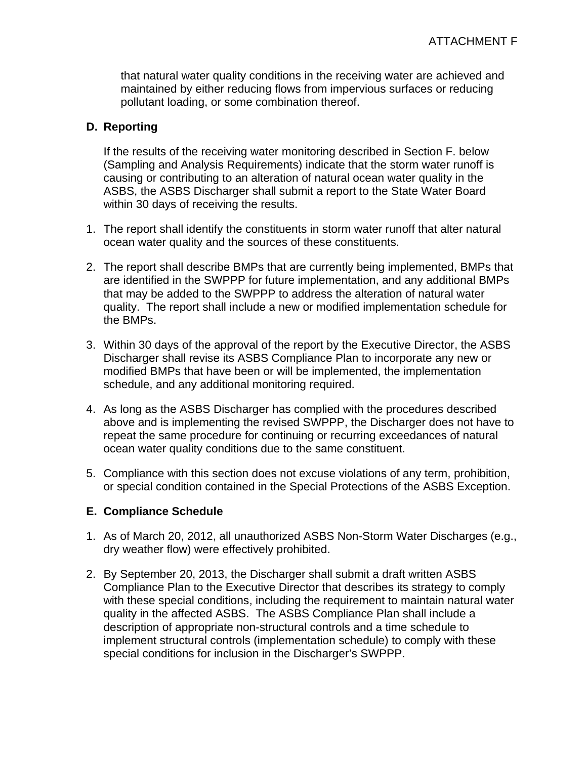that natural water quality conditions in the receiving water are achieved and maintained by either reducing flows from impervious surfaces or reducing pollutant loading, or some combination thereof.

### **D. Reporting**

If the results of the receiving water monitoring described in Section F. below (Sampling and Analysis Requirements) indicate that the storm water runoff is causing or contributing to an alteration of natural ocean water quality in the ASBS, the ASBS Discharger shall submit a report to the State Water Board within 30 days of receiving the results.

- 1. The report shall identify the constituents in storm water runoff that alter natural ocean water quality and the sources of these constituents.
- 2. The report shall describe BMPs that are currently being implemented, BMPs that are identified in the SWPPP for future implementation, and any additional BMPs that may be added to the SWPPP to address the alteration of natural water quality. The report shall include a new or modified implementation schedule for the BMPs.
- 3. Within 30 days of the approval of the report by the Executive Director, the ASBS Discharger shall revise its ASBS Compliance Plan to incorporate any new or modified BMPs that have been or will be implemented, the implementation schedule, and any additional monitoring required.
- 4. As long as the ASBS Discharger has complied with the procedures described above and is implementing the revised SWPPP, the Discharger does not have to repeat the same procedure for continuing or recurring exceedances of natural ocean water quality conditions due to the same constituent.
- 5. Compliance with this section does not excuse violations of any term, prohibition, or special condition contained in the Special Protections of the ASBS Exception.

#### **E. Compliance Schedule**

- 1. As of March 20, 2012, all unauthorized ASBS Non-Storm Water Discharges (e.g., dry weather flow) were effectively prohibited.
- 2. By September 20, 2013, the Discharger shall submit a draft written ASBS Compliance Plan to the Executive Director that describes its strategy to comply with these special conditions, including the requirement to maintain natural water quality in the affected ASBS. The ASBS Compliance Plan shall include a description of appropriate non-structural controls and a time schedule to implement structural controls (implementation schedule) to comply with these special conditions for inclusion in the Discharger's SWPPP.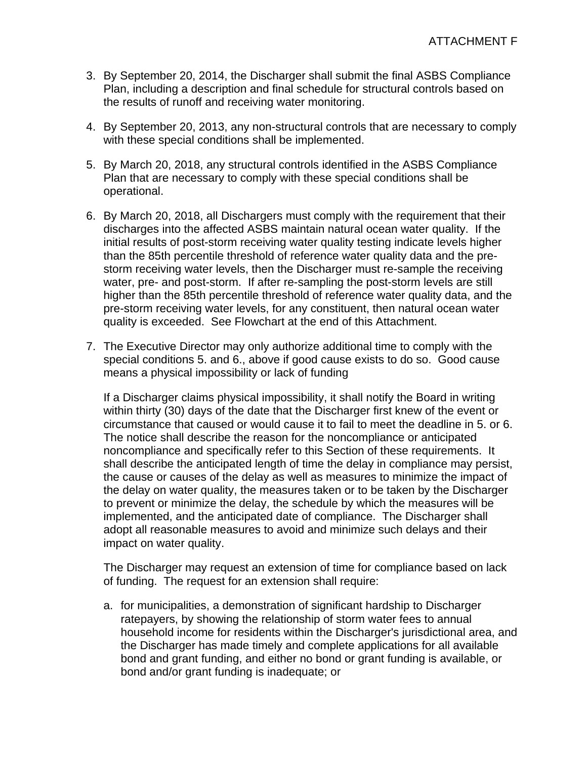- 3. By September 20, 2014, the Discharger shall submit the final ASBS Compliance Plan, including a description and final schedule for structural controls based on the results of runoff and receiving water monitoring.
- 4. By September 20, 2013, any non-structural controls that are necessary to comply with these special conditions shall be implemented.
- 5. By March 20, 2018, any structural controls identified in the ASBS Compliance Plan that are necessary to comply with these special conditions shall be operational.
- 6. By March 20, 2018, all Dischargers must comply with the requirement that their discharges into the affected ASBS maintain natural ocean water quality. If the initial results of post-storm receiving water quality testing indicate levels higher than the 85th percentile threshold of reference water quality data and the prestorm receiving water levels, then the Discharger must re-sample the receiving water, pre- and post-storm. If after re-sampling the post-storm levels are still higher than the 85th percentile threshold of reference water quality data, and the pre-storm receiving water levels, for any constituent, then natural ocean water quality is exceeded. See Flowchart at the end of this Attachment.
- 7. The Executive Director may only authorize additional time to comply with the special conditions 5. and 6., above if good cause exists to do so. Good cause means a physical impossibility or lack of funding

If a Discharger claims physical impossibility, it shall notify the Board in writing within thirty (30) days of the date that the Discharger first knew of the event or circumstance that caused or would cause it to fail to meet the deadline in 5. or 6. The notice shall describe the reason for the noncompliance or anticipated noncompliance and specifically refer to this Section of these requirements. It shall describe the anticipated length of time the delay in compliance may persist, the cause or causes of the delay as well as measures to minimize the impact of the delay on water quality, the measures taken or to be taken by the Discharger to prevent or minimize the delay, the schedule by which the measures will be implemented, and the anticipated date of compliance. The Discharger shall adopt all reasonable measures to avoid and minimize such delays and their impact on water quality.

The Discharger may request an extension of time for compliance based on lack of funding. The request for an extension shall require:

a. for municipalities, a demonstration of significant hardship to Discharger ratepayers, by showing the relationship of storm water fees to annual household income for residents within the Discharger's jurisdictional area, and the Discharger has made timely and complete applications for all available bond and grant funding, and either no bond or grant funding is available, or bond and/or grant funding is inadequate; or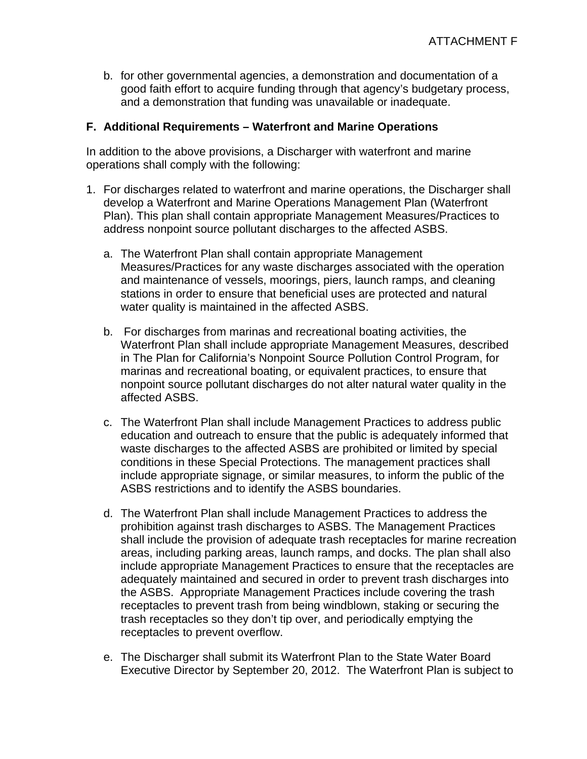b. for other governmental agencies, a demonstration and documentation of a good faith effort to acquire funding through that agency's budgetary process, and a demonstration that funding was unavailable or inadequate.

#### **F. Additional Requirements – Waterfront and Marine Operations**

In addition to the above provisions, a Discharger with waterfront and marine operations shall comply with the following:

- 1. For discharges related to waterfront and marine operations, the Discharger shall develop a Waterfront and Marine Operations Management Plan (Waterfront Plan). This plan shall contain appropriate Management Measures/Practices to address nonpoint source pollutant discharges to the affected ASBS.
	- a. The Waterfront Plan shall contain appropriate Management Measures/Practices for any waste discharges associated with the operation and maintenance of vessels, moorings, piers, launch ramps, and cleaning stations in order to ensure that beneficial uses are protected and natural water quality is maintained in the affected ASBS.
	- b. For discharges from marinas and recreational boating activities, the Waterfront Plan shall include appropriate Management Measures, described in The Plan for California's Nonpoint Source Pollution Control Program, for marinas and recreational boating, or equivalent practices, to ensure that nonpoint source pollutant discharges do not alter natural water quality in the affected ASBS.
	- c. The Waterfront Plan shall include Management Practices to address public education and outreach to ensure that the public is adequately informed that waste discharges to the affected ASBS are prohibited or limited by special conditions in these Special Protections. The management practices shall include appropriate signage, or similar measures, to inform the public of the ASBS restrictions and to identify the ASBS boundaries.
	- d. The Waterfront Plan shall include Management Practices to address the prohibition against trash discharges to ASBS. The Management Practices shall include the provision of adequate trash receptacles for marine recreation areas, including parking areas, launch ramps, and docks. The plan shall also include appropriate Management Practices to ensure that the receptacles are adequately maintained and secured in order to prevent trash discharges into the ASBS. Appropriate Management Practices include covering the trash receptacles to prevent trash from being windblown, staking or securing the trash receptacles so they don't tip over, and periodically emptying the receptacles to prevent overflow.
	- e. The Discharger shall submit its Waterfront Plan to the State Water Board Executive Director by September 20, 2012. The Waterfront Plan is subject to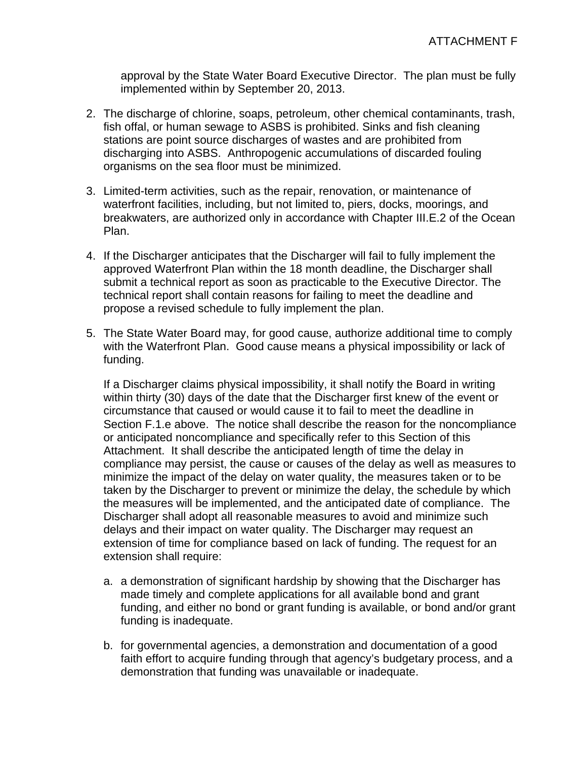approval by the State Water Board Executive Director. The plan must be fully implemented within by September 20, 2013.

- 2. The discharge of chlorine, soaps, petroleum, other chemical contaminants, trash, fish offal, or human sewage to ASBS is prohibited. Sinks and fish cleaning stations are point source discharges of wastes and are prohibited from discharging into ASBS. Anthropogenic accumulations of discarded fouling organisms on the sea floor must be minimized.
- 3. Limited-term activities, such as the repair, renovation, or maintenance of waterfront facilities, including, but not limited to, piers, docks, moorings, and breakwaters, are authorized only in accordance with Chapter III.E.2 of the Ocean Plan.
- 4. If the Discharger anticipates that the Discharger will fail to fully implement the approved Waterfront Plan within the 18 month deadline, the Discharger shall submit a technical report as soon as practicable to the Executive Director. The technical report shall contain reasons for failing to meet the deadline and propose a revised schedule to fully implement the plan.
- 5. The State Water Board may, for good cause, authorize additional time to comply with the Waterfront Plan. Good cause means a physical impossibility or lack of funding.

If a Discharger claims physical impossibility, it shall notify the Board in writing within thirty (30) days of the date that the Discharger first knew of the event or circumstance that caused or would cause it to fail to meet the deadline in Section F.1.e above. The notice shall describe the reason for the noncompliance or anticipated noncompliance and specifically refer to this Section of this Attachment. It shall describe the anticipated length of time the delay in compliance may persist, the cause or causes of the delay as well as measures to minimize the impact of the delay on water quality, the measures taken or to be taken by the Discharger to prevent or minimize the delay, the schedule by which the measures will be implemented, and the anticipated date of compliance. The Discharger shall adopt all reasonable measures to avoid and minimize such delays and their impact on water quality. The Discharger may request an extension of time for compliance based on lack of funding. The request for an extension shall require:

- a. a demonstration of significant hardship by showing that the Discharger has made timely and complete applications for all available bond and grant funding, and either no bond or grant funding is available, or bond and/or grant funding is inadequate.
- b. for governmental agencies, a demonstration and documentation of a good faith effort to acquire funding through that agency's budgetary process, and a demonstration that funding was unavailable or inadequate.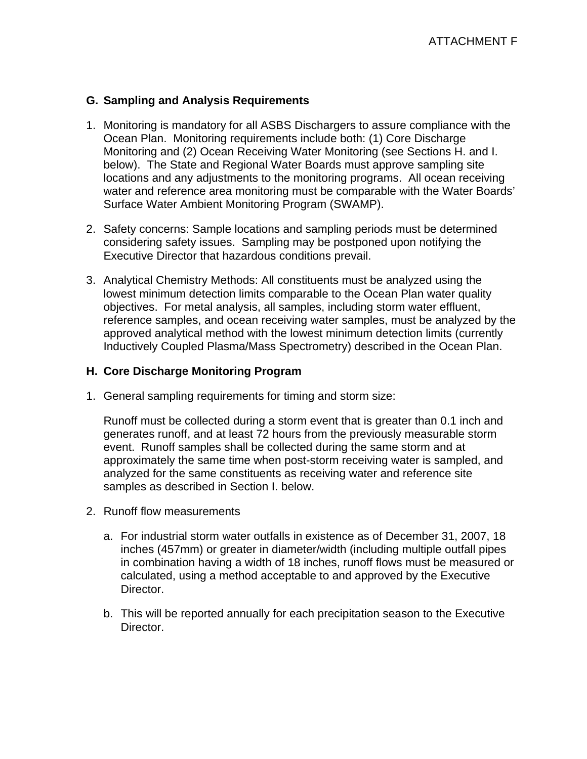#### **G. Sampling and Analysis Requirements**

- 1. Monitoring is mandatory for all ASBS Dischargers to assure compliance with the Ocean Plan. Monitoring requirements include both: (1) Core Discharge Monitoring and (2) Ocean Receiving Water Monitoring (see Sections H. and I. below). The State and Regional Water Boards must approve sampling site locations and any adjustments to the monitoring programs. All ocean receiving water and reference area monitoring must be comparable with the Water Boards' Surface Water Ambient Monitoring Program (SWAMP).
- 2. Safety concerns: Sample locations and sampling periods must be determined considering safety issues. Sampling may be postponed upon notifying the Executive Director that hazardous conditions prevail.
- 3. Analytical Chemistry Methods: All constituents must be analyzed using the lowest minimum detection limits comparable to the Ocean Plan water quality objectives. For metal analysis, all samples, including storm water effluent, reference samples, and ocean receiving water samples, must be analyzed by the approved analytical method with the lowest minimum detection limits (currently Inductively Coupled Plasma/Mass Spectrometry) described in the Ocean Plan.

#### **H. Core Discharge Monitoring Program**

1. General sampling requirements for timing and storm size:

Runoff must be collected during a storm event that is greater than 0.1 inch and generates runoff, and at least 72 hours from the previously measurable storm event. Runoff samples shall be collected during the same storm and at approximately the same time when post-storm receiving water is sampled, and analyzed for the same constituents as receiving water and reference site samples as described in Section I. below.

- 2. Runoff flow measurements
	- a. For industrial storm water outfalls in existence as of December 31, 2007, 18 inches (457mm) or greater in diameter/width (including multiple outfall pipes in combination having a width of 18 inches, runoff flows must be measured or calculated, using a method acceptable to and approved by the Executive Director.
	- b. This will be reported annually for each precipitation season to the Executive Director.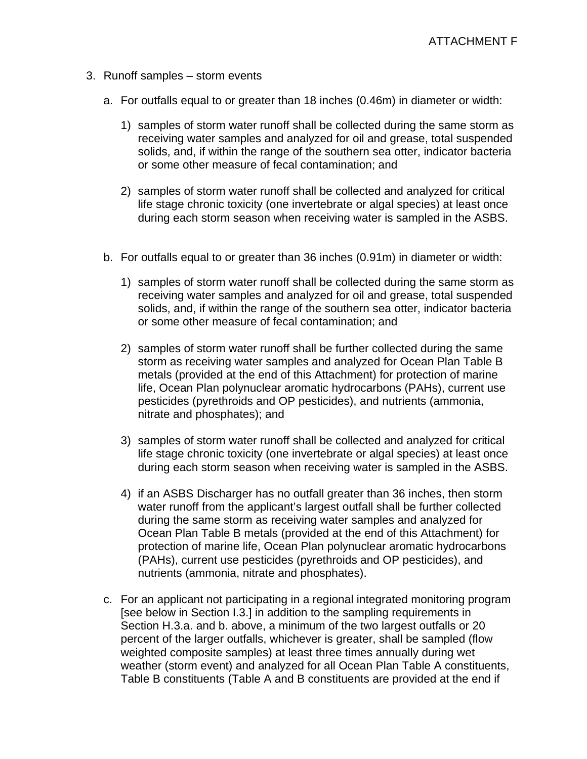- 3. Runoff samples storm events
	- a. For outfalls equal to or greater than 18 inches (0.46m) in diameter or width:
		- 1) samples of storm water runoff shall be collected during the same storm as receiving water samples and analyzed for oil and grease, total suspended solids, and, if within the range of the southern sea otter, indicator bacteria or some other measure of fecal contamination; and
		- 2) samples of storm water runoff shall be collected and analyzed for critical life stage chronic toxicity (one invertebrate or algal species) at least once during each storm season when receiving water is sampled in the ASBS.
	- b. For outfalls equal to or greater than 36 inches (0.91m) in diameter or width:
		- 1) samples of storm water runoff shall be collected during the same storm as receiving water samples and analyzed for oil and grease, total suspended solids, and, if within the range of the southern sea otter, indicator bacteria or some other measure of fecal contamination; and
		- 2) samples of storm water runoff shall be further collected during the same storm as receiving water samples and analyzed for Ocean Plan Table B metals (provided at the end of this Attachment) for protection of marine life, Ocean Plan polynuclear aromatic hydrocarbons (PAHs), current use pesticides (pyrethroids and OP pesticides), and nutrients (ammonia, nitrate and phosphates); and
		- 3) samples of storm water runoff shall be collected and analyzed for critical life stage chronic toxicity (one invertebrate or algal species) at least once during each storm season when receiving water is sampled in the ASBS.
		- 4) if an ASBS Discharger has no outfall greater than 36 inches, then storm water runoff from the applicant's largest outfall shall be further collected during the same storm as receiving water samples and analyzed for Ocean Plan Table B metals (provided at the end of this Attachment) for protection of marine life, Ocean Plan polynuclear aromatic hydrocarbons (PAHs), current use pesticides (pyrethroids and OP pesticides), and nutrients (ammonia, nitrate and phosphates).
	- c. For an applicant not participating in a regional integrated monitoring program [see below in Section I.3.] in addition to the sampling requirements in Section H.3.a. and b. above, a minimum of the two largest outfalls or 20 percent of the larger outfalls, whichever is greater, shall be sampled (flow weighted composite samples) at least three times annually during wet weather (storm event) and analyzed for all Ocean Plan Table A constituents, Table B constituents (Table A and B constituents are provided at the end if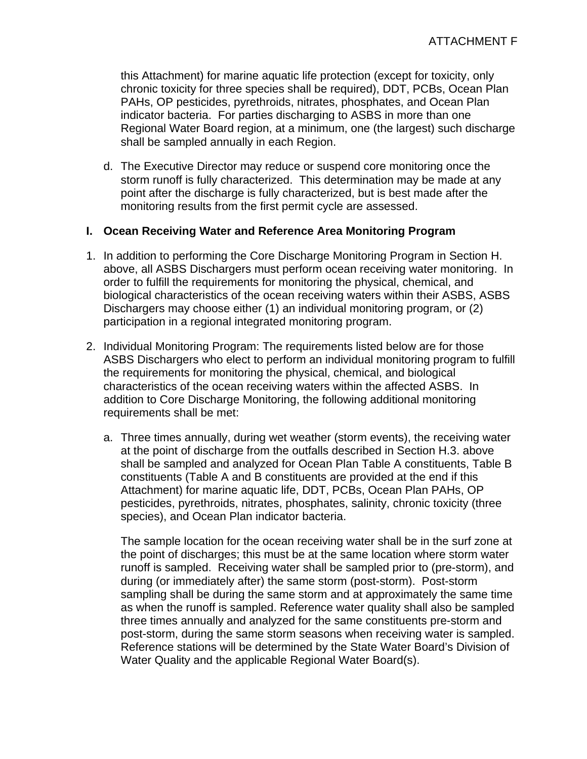this Attachment) for marine aquatic life protection (except for toxicity, only chronic toxicity for three species shall be required), DDT, PCBs, Ocean Plan PAHs, OP pesticides, pyrethroids, nitrates, phosphates, and Ocean Plan indicator bacteria. For parties discharging to ASBS in more than one Regional Water Board region, at a minimum, one (the largest) such discharge shall be sampled annually in each Region.

d. The Executive Director may reduce or suspend core monitoring once the storm runoff is fully characterized. This determination may be made at any point after the discharge is fully characterized, but is best made after the monitoring results from the first permit cycle are assessed.

#### **I. Ocean Receiving Water and Reference Area Monitoring Program**

- 1. In addition to performing the Core Discharge Monitoring Program in Section H. above, all ASBS Dischargers must perform ocean receiving water monitoring. In order to fulfill the requirements for monitoring the physical, chemical, and biological characteristics of the ocean receiving waters within their ASBS, ASBS Dischargers may choose either (1) an individual monitoring program, or (2) participation in a regional integrated monitoring program.
- 2. Individual Monitoring Program: The requirements listed below are for those ASBS Dischargers who elect to perform an individual monitoring program to fulfill the requirements for monitoring the physical, chemical, and biological characteristics of the ocean receiving waters within the affected ASBS. In addition to Core Discharge Monitoring, the following additional monitoring requirements shall be met:
	- a. Three times annually, during wet weather (storm events), the receiving water at the point of discharge from the outfalls described in Section H.3. above shall be sampled and analyzed for Ocean Plan Table A constituents, Table B constituents (Table A and B constituents are provided at the end if this Attachment) for marine aquatic life, DDT, PCBs, Ocean Plan PAHs, OP pesticides, pyrethroids, nitrates, phosphates, salinity, chronic toxicity (three species), and Ocean Plan indicator bacteria.

The sample location for the ocean receiving water shall be in the surf zone at the point of discharges; this must be at the same location where storm water runoff is sampled. Receiving water shall be sampled prior to (pre-storm), and during (or immediately after) the same storm (post-storm). Post-storm sampling shall be during the same storm and at approximately the same time as when the runoff is sampled. Reference water quality shall also be sampled three times annually and analyzed for the same constituents pre-storm and post-storm, during the same storm seasons when receiving water is sampled. Reference stations will be determined by the State Water Board's Division of Water Quality and the applicable Regional Water Board(s).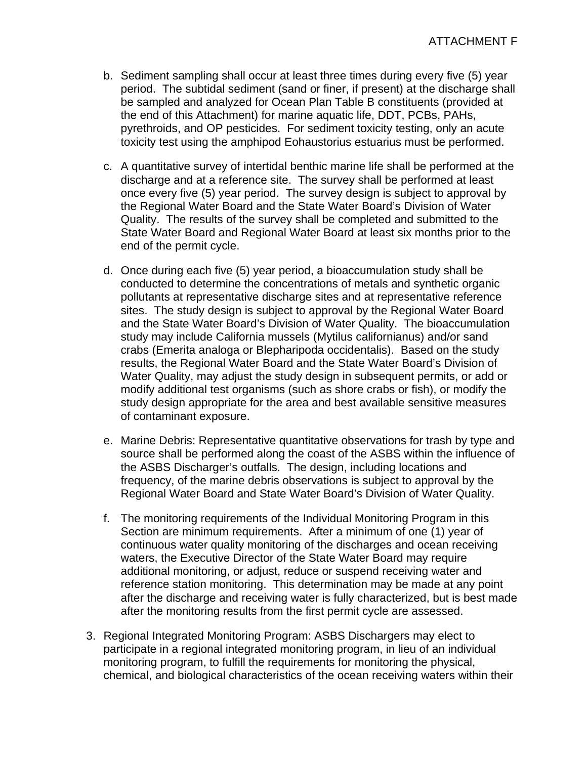- b. Sediment sampling shall occur at least three times during every five (5) year period. The subtidal sediment (sand or finer, if present) at the discharge shall be sampled and analyzed for Ocean Plan Table B constituents (provided at the end of this Attachment) for marine aquatic life, DDT, PCBs, PAHs, pyrethroids, and OP pesticides. For sediment toxicity testing, only an acute toxicity test using the amphipod Eohaustorius estuarius must be performed.
- c. A quantitative survey of intertidal benthic marine life shall be performed at the discharge and at a reference site. The survey shall be performed at least once every five (5) year period. The survey design is subject to approval by the Regional Water Board and the State Water Board's Division of Water Quality. The results of the survey shall be completed and submitted to the State Water Board and Regional Water Board at least six months prior to the end of the permit cycle.
- d. Once during each five (5) year period, a bioaccumulation study shall be conducted to determine the concentrations of metals and synthetic organic pollutants at representative discharge sites and at representative reference sites. The study design is subject to approval by the Regional Water Board and the State Water Board's Division of Water Quality. The bioaccumulation study may include California mussels (Mytilus californianus) and/or sand crabs (Emerita analoga or Blepharipoda occidentalis). Based on the study results, the Regional Water Board and the State Water Board's Division of Water Quality, may adjust the study design in subsequent permits, or add or modify additional test organisms (such as shore crabs or fish), or modify the study design appropriate for the area and best available sensitive measures of contaminant exposure.
- e. Marine Debris: Representative quantitative observations for trash by type and source shall be performed along the coast of the ASBS within the influence of the ASBS Discharger's outfalls. The design, including locations and frequency, of the marine debris observations is subject to approval by the Regional Water Board and State Water Board's Division of Water Quality.
- f. The monitoring requirements of the Individual Monitoring Program in this Section are minimum requirements. After a minimum of one (1) year of continuous water quality monitoring of the discharges and ocean receiving waters, the Executive Director of the State Water Board may require additional monitoring, or adjust, reduce or suspend receiving water and reference station monitoring. This determination may be made at any point after the discharge and receiving water is fully characterized, but is best made after the monitoring results from the first permit cycle are assessed.
- 3. Regional Integrated Monitoring Program: ASBS Dischargers may elect to participate in a regional integrated monitoring program, in lieu of an individual monitoring program, to fulfill the requirements for monitoring the physical, chemical, and biological characteristics of the ocean receiving waters within their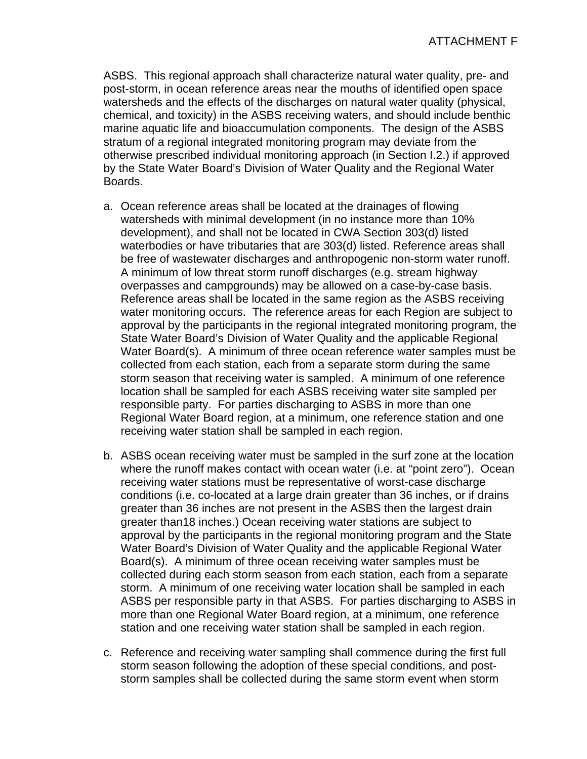ASBS. This regional approach shall characterize natural water quality, pre- and post-storm, in ocean reference areas near the mouths of identified open space watersheds and the effects of the discharges on natural water quality (physical, chemical, and toxicity) in the ASBS receiving waters, and should include benthic marine aquatic life and bioaccumulation components. The design of the ASBS stratum of a regional integrated monitoring program may deviate from the otherwise prescribed individual monitoring approach (in Section I.2.) if approved by the State Water Board's Division of Water Quality and the Regional Water Boards.

- a. Ocean reference areas shall be located at the drainages of flowing watersheds with minimal development (in no instance more than 10% development), and shall not be located in CWA Section 303(d) listed waterbodies or have tributaries that are 303(d) listed. Reference areas shall be free of wastewater discharges and anthropogenic non-storm water runoff. A minimum of low threat storm runoff discharges (e.g. stream highway overpasses and campgrounds) may be allowed on a case-by-case basis. Reference areas shall be located in the same region as the ASBS receiving water monitoring occurs. The reference areas for each Region are subject to approval by the participants in the regional integrated monitoring program, the State Water Board's Division of Water Quality and the applicable Regional Water Board(s). A minimum of three ocean reference water samples must be collected from each station, each from a separate storm during the same storm season that receiving water is sampled. A minimum of one reference location shall be sampled for each ASBS receiving water site sampled per responsible party. For parties discharging to ASBS in more than one Regional Water Board region, at a minimum, one reference station and one receiving water station shall be sampled in each region.
- b. ASBS ocean receiving water must be sampled in the surf zone at the location where the runoff makes contact with ocean water (i.e. at "point zero"). Ocean receiving water stations must be representative of worst-case discharge conditions (i.e. co-located at a large drain greater than 36 inches, or if drains greater than 36 inches are not present in the ASBS then the largest drain greater than18 inches.) Ocean receiving water stations are subject to approval by the participants in the regional monitoring program and the State Water Board's Division of Water Quality and the applicable Regional Water Board(s). A minimum of three ocean receiving water samples must be collected during each storm season from each station, each from a separate storm. A minimum of one receiving water location shall be sampled in each ASBS per responsible party in that ASBS. For parties discharging to ASBS in more than one Regional Water Board region, at a minimum, one reference station and one receiving water station shall be sampled in each region.
- c. Reference and receiving water sampling shall commence during the first full storm season following the adoption of these special conditions, and poststorm samples shall be collected during the same storm event when storm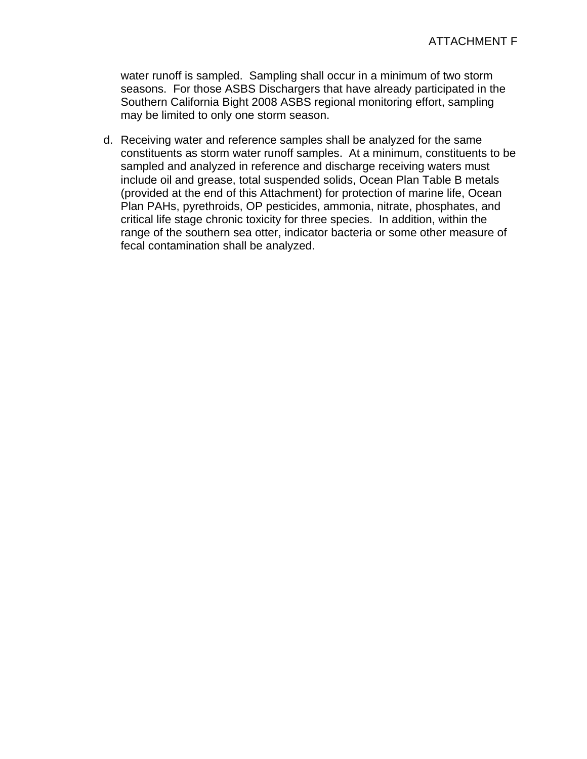water runoff is sampled. Sampling shall occur in a minimum of two storm seasons. For those ASBS Dischargers that have already participated in the Southern California Bight 2008 ASBS regional monitoring effort, sampling may be limited to only one storm season.

d. Receiving water and reference samples shall be analyzed for the same constituents as storm water runoff samples. At a minimum, constituents to be sampled and analyzed in reference and discharge receiving waters must include oil and grease, total suspended solids, Ocean Plan Table B metals (provided at the end of this Attachment) for protection of marine life, Ocean Plan PAHs, pyrethroids, OP pesticides, ammonia, nitrate, phosphates, and critical life stage chronic toxicity for three species. In addition, within the range of the southern sea otter, indicator bacteria or some other measure of fecal contamination shall be analyzed.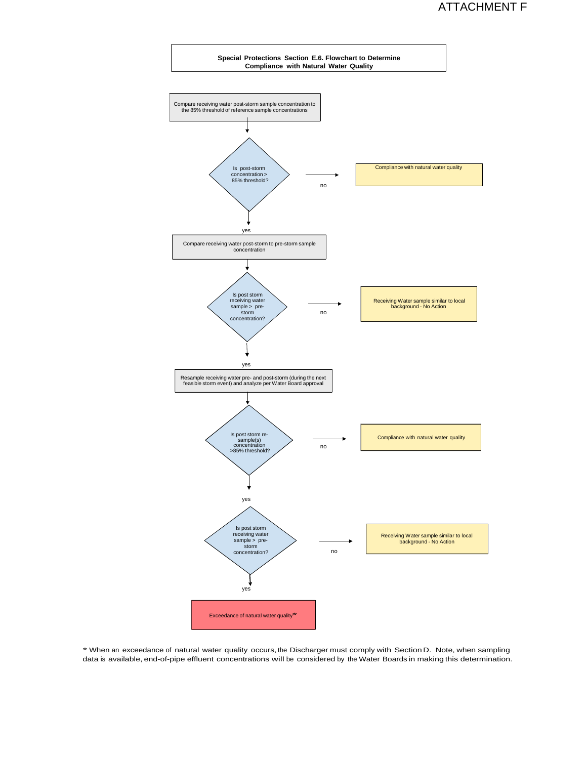

\* When an exceedance of natural water quality occurs, the Discharger must comply with Section D. Note, when sampling data is available, end-of-pipe effluent concentrations will be considered by the Water Boards in making this determination.